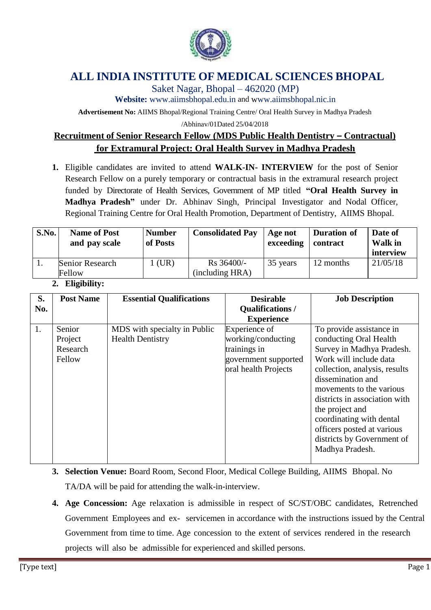

# **ALL INDIA INSTITUTE OF MEDICAL SCIENCES BHOPAL**

Saket Nagar, Bhopal – 462020 (MP)

**Website:** [www.aiimsbhopal.edu.in](http://www.aiimsbhopal.edu.in/) and [www.aiimsbhopal.nic.in](http://www.aiimsbhopal.nic.in/)

**Advertisement No:** AIIMS Bhopal/Regional Training Centre/ Oral Health Survey in Madhya Pradesh

/Abhinav/01Dated 25/04/2018

## **Recruitment of Senior Research Fellow (MDS Public Health Dentistry – Contractual) for Extramural Project: Oral Health Survey in Madhya Pradesh**

**1.** Eligible candidates are invited to attend **WALK-IN- INTERVIEW** for the post of Senior Research Fellow on a purely temporary or contractual basis in the extramural research project funded by Directorate of Health Services, Government of MP titled **"Oral Health Survey in Madhya Pradesh"** under Dr. Abhinav Singh, Principal Investigator and Nodal Officer, Regional Training Centre for Oral Health Promotion, Department of Dentistry, AIIMS Bhopal.

| S.No. | <b>Name of Post</b><br>and pay scale | <b>Number</b><br>of Posts | <b>Consolidated Pay</b>       | Age not<br>exceeding | Duration of<br>contract | Date of<br>Walk in<br>interview |
|-------|--------------------------------------|---------------------------|-------------------------------|----------------------|-------------------------|---------------------------------|
|       | Senior Research<br>Fellow            | $1$ (UR)                  | Rs 36400/-<br>(including HRA) | 35 years             | 12 months               | 21/05/18                        |

### **2. Eligibility:**

| S.  | <b>Post Name</b> | <b>Essential Qualifications</b> | <b>Desirable</b>        | <b>Job Description</b>        |
|-----|------------------|---------------------------------|-------------------------|-------------------------------|
| No. |                  |                                 | <b>Qualifications /</b> |                               |
|     |                  |                                 | <b>Experience</b>       |                               |
| 1.  | Senior           | MDS with specialty in Public    | Experience of           | To provide assistance in      |
|     | Project          | <b>Health Dentistry</b>         | working/conducting      | conducting Oral Health        |
|     | Research         |                                 | trainings in            | Survey in Madhya Pradesh.     |
|     | Fellow           |                                 | government supported    | Work will include data        |
|     |                  |                                 | oral health Projects    | collection, analysis, results |
|     |                  |                                 |                         | dissemination and             |
|     |                  |                                 |                         | movements to the various      |
|     |                  |                                 |                         | districts in association with |
|     |                  |                                 |                         | the project and               |
|     |                  |                                 |                         | coordinating with dental      |
|     |                  |                                 |                         | officers posted at various    |
|     |                  |                                 |                         | districts by Government of    |
|     |                  |                                 |                         | Madhya Pradesh.               |
|     |                  |                                 |                         |                               |

- **3. Selection Venue:** Board Room, Second Floor, Medical College Building, AIIMS Bhopal. No TA/DA will be paid for attending the walk-in-interview.
- **4. Age Concession:** Age relaxation is admissible in respect of SC/ST/OBC candidates, Retrenched Government Employees and ex- servicemen in accordance with the instructions issued by the Central Government from time to time. Age concession to the extent of services rendered in the research projects will also be admissible for experienced and skilled persons.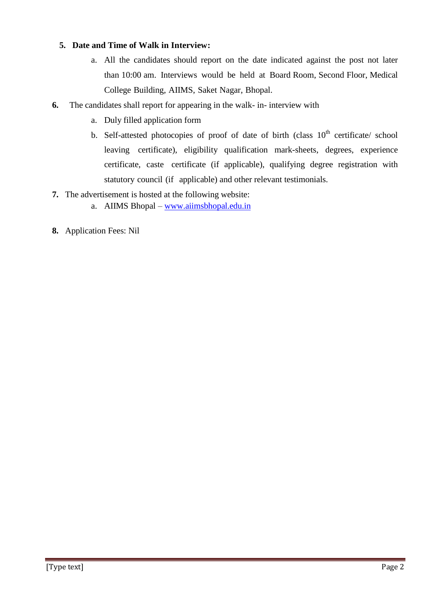### **5. Date and Time of Walk in Interview:**

- a. All the candidates should report on the date indicated against the post not later than 10:00 am. Interviews would be held at Board Room, Second Floor, Medical College Building, AIIMS, Saket Nagar, Bhopal.
- **6.** The candidates shall report for appearing in the walk- in- interview with
	- a. Duly filled application form
	- b. Self-attested photocopies of proof of date of birth (class  $10<sup>th</sup>$  certificate/ school leaving certificate), eligibility qualification mark-sheets, degrees, experience certificate, caste certificate (if applicable), qualifying degree registration with statutory council (if applicable) and other relevant testimonials.
- **7.** The advertisement is hosted at the following website:
	- a. AIIMS Bhopal [www.aiimsbhopal.edu.in](http://www.aiimsbhopal.edu.in/)
- **8.** Application Fees: Nil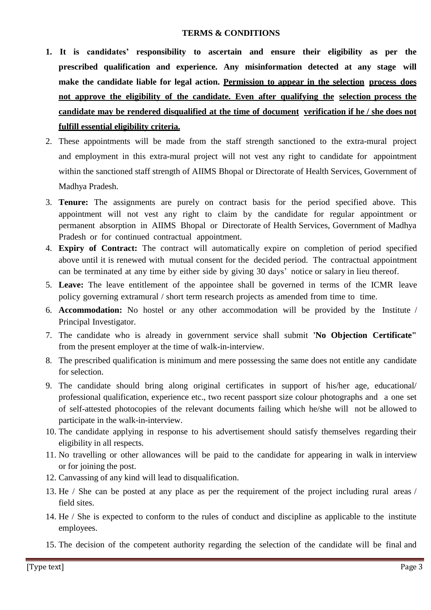#### **TERMS & CONDITIONS**

- **1. It is candidates' responsibility to ascertain and ensure their eligibility as per the prescribed qualification and experience. Any misinformation detected at any stage will make the candidate liable for legal action. Permission to appear in the selection process does not approve the eligibility of the candidate. Even after qualifying the selection process the candidate may be rendered disqualified at the time of document verification if he / she does not fulfill essential eligibility criteria.**
- 2. These appointments will be made from the staff strength sanctioned to the extra-mural project and employment in this extra-mural project will not vest any right to candidate for appointment within the sanctioned staff strength of AIIMS Bhopal or Directorate of Health Services, Government of Madhya Pradesh.
- 3. **Tenure:** The assignments are purely on contract basis for the period specified above. This appointment will not vest any right to claim by the candidate for regular appointment or permanent absorption in AIIMS Bhopal or Directorate of Health Services, Government of Madhya Pradesh or for continued contractual appointment.
- 4. **Expiry of Contract:** The contract will automatically expire on completion of period specified above until it is renewed with mutual consent for the decided period. The contractual appointment can be terminated at any time by either side by giving 30 days' notice or salary in lieu thereof.
- 5. **Leave:** The leave entitlement of the appointee shall be governed in terms of the ICMR leave policy governing extramural / short term research projects as amended from time to time.
- 6. **Accommodation:** No hostel or any other accommodation will be provided by the Institute / Principal Investigator.
- 7. The candidate who is already in government service shall submit **'No Objection Certificate"** from the present employer at the time of walk-in-interview.
- 8. The prescribed qualification is minimum and mere possessing the same does not entitle any candidate for selection.
- 9. The candidate should bring along original certificates in support of his/her age, educational/ professional qualification, experience etc., two recent passport size colour photographs and a one set of self-attested photocopies of the relevant documents failing which he/she will not be allowed to participate in the walk-in-interview.
- 10. The candidate applying in response to his advertisement should satisfy themselves regarding their eligibility in all respects.
- 11. No travelling or other allowances will be paid to the candidate for appearing in walk in interview or for joining the post.
- 12. Canvassing of any kind will lead to disqualification.
- 13. He / She can be posted at any place as per the requirement of the project including rural areas / field sites.
- 14. He / She is expected to conform to the rules of conduct and discipline as applicable to the institute employees.
- 15. The decision of the competent authority regarding the selection of the candidate will be final and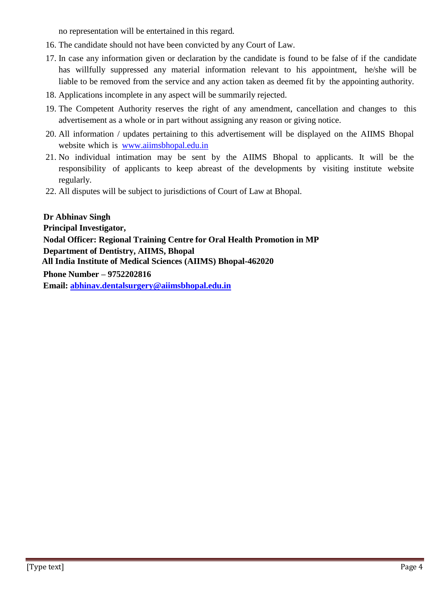no representation will be entertained in this regard.

- 16. The candidate should not have been convicted by any Court of Law.
- 17. In case any information given or declaration by the candidate is found to be false of if the candidate has willfully suppressed any material information relevant to his appointment, he/she will be liable to be removed from the service and any action taken as deemed fit by the appointing authority.
- 18. Applications incomplete in any aspect will be summarily rejected.
- 19. The Competent Authority reserves the right of any amendment, cancellation and changes to this advertisement as a whole or in part without assigning any reason or giving notice.
- 20. All information / updates pertaining to this advertisement will be displayed on the AIIMS Bhopal website which is [www.aiimsbhopal.edu.in](http://www.aiimsbhopal.edu.in/)
- 21. No individual intimation may be sent by the AIIMS Bhopal to applicants. It will be the responsibility of applicants to keep abreast of the developments by visiting institute website regularly.
- 22. All disputes will be subject to jurisdictions of Court of Law at Bhopal.

 **Dr Abhinav Singh Principal Investigator, Nodal Officer: Regional Training Centre for Oral Health Promotion in MP Department of Dentistry, AIIMS, Bhopal All India Institute of Medical Sciences (AIIMS) Bhopal-462020 Phone Number – 9752202816 Email: [abhinav.dentalsurgery@aiimsbhopal.edu.in](mailto:abhinav.dentalsurgery@aiimsbhopal.edu.in)**